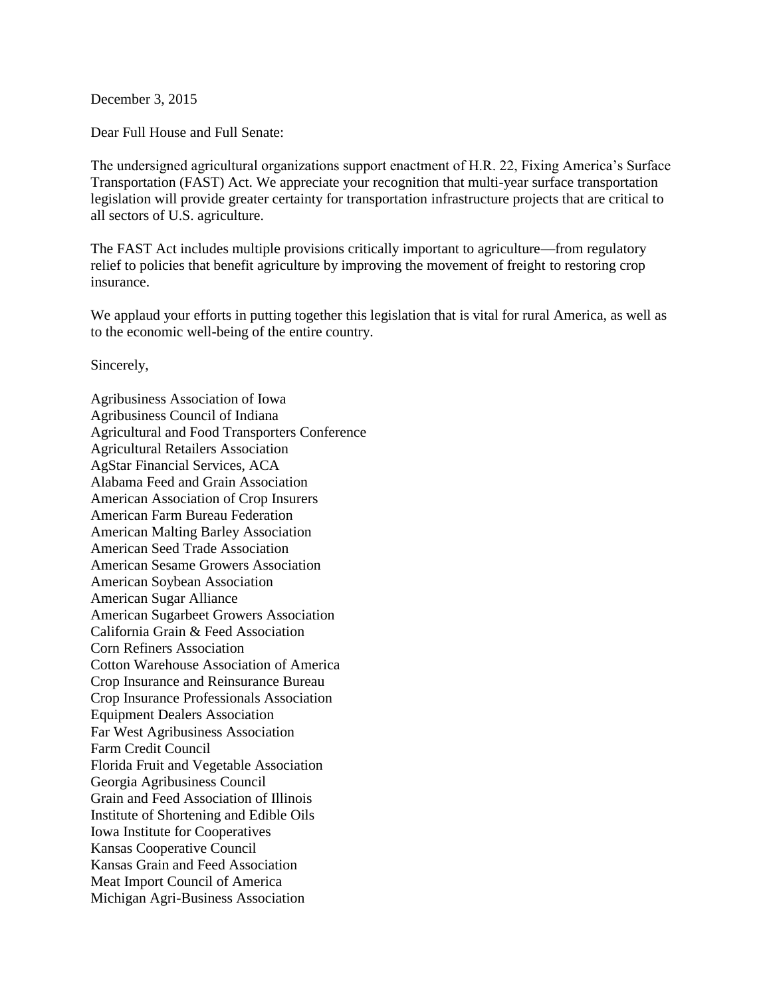December 3, 2015

Dear Full House and Full Senate:

The undersigned agricultural organizations support enactment of H.R. 22, Fixing America's Surface Transportation (FAST) Act. We appreciate your recognition that multi-year surface transportation legislation will provide greater certainty for transportation infrastructure projects that are critical to all sectors of U.S. agriculture.

The FAST Act includes multiple provisions critically important to agriculture—from regulatory relief to policies that benefit agriculture by improving the movement of freight to restoring crop insurance.

We applaud your efforts in putting together this legislation that is vital for rural America, as well as to the economic well-being of the entire country.

Sincerely,

Agribusiness Association of Iowa Agribusiness Council of Indiana Agricultural and Food Transporters Conference Agricultural Retailers Association AgStar Financial Services, ACA Alabama Feed and Grain Association American Association of Crop Insurers American Farm Bureau Federation American Malting Barley Association American Seed Trade Association American Sesame Growers Association American Soybean Association American Sugar Alliance American Sugarbeet Growers Association California Grain & Feed Association Corn Refiners Association Cotton Warehouse Association of America Crop Insurance and Reinsurance Bureau Crop Insurance Professionals Association Equipment Dealers Association Far West Agribusiness Association Farm Credit Council Florida Fruit and Vegetable Association Georgia Agribusiness Council Grain and Feed Association of Illinois Institute of Shortening and Edible Oils Iowa Institute for Cooperatives Kansas Cooperative Council Kansas Grain and Feed Association Meat Import Council of America Michigan Agri-Business Association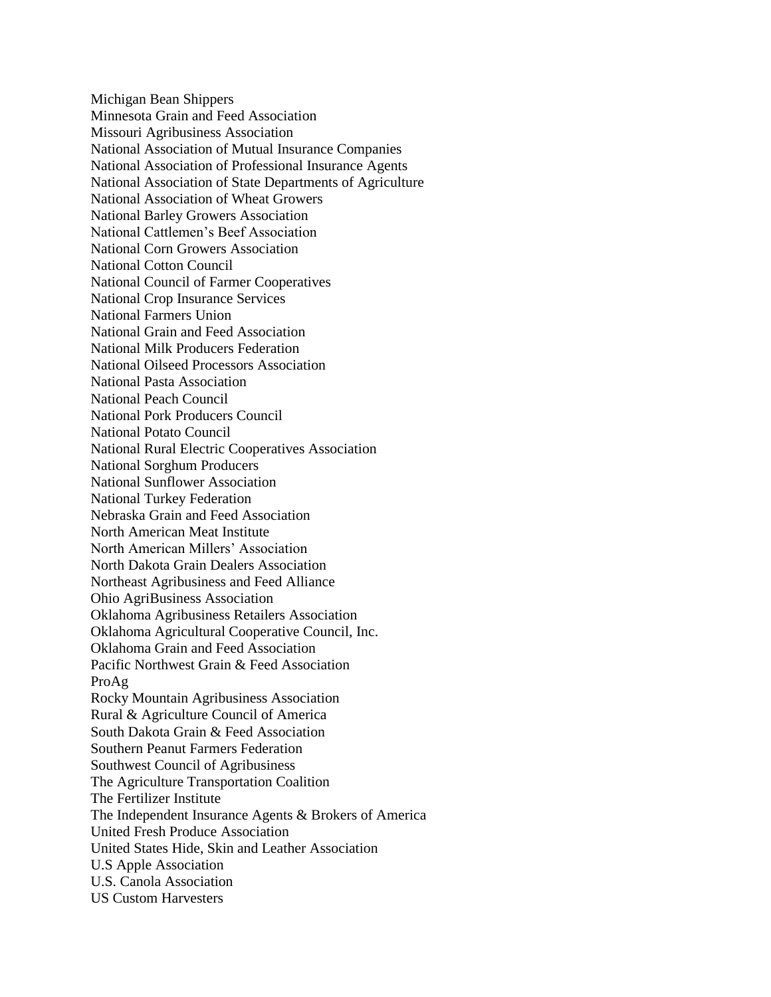Michigan Bean Shippers Minnesota Grain and Feed Association Missouri Agribusiness Association National Association of Mutual Insurance Companies National Association of Professional Insurance Agents National Association of State Departments of Agriculture National Association of Wheat Growers National Barley Growers Association National Cattlemen's Beef Association National Corn Growers Association National Cotton Council National Council of Farmer Cooperatives National Crop Insurance Services National Farmers Union National Grain and Feed Association National Milk Producers Federation National Oilseed Processors Association National Pasta Association National Peach Council National Pork Producers Council National Potato Council National Rural Electric Cooperatives Association National Sorghum Producers National Sunflower Association National Turkey Federation Nebraska Grain and Feed Association North American Meat Institute North American Millers' Association North Dakota Grain Dealers Association Northeast Agribusiness and Feed Alliance Ohio AgriBusiness Association Oklahoma Agribusiness Retailers Association Oklahoma Agricultural Cooperative Council, Inc. Oklahoma Grain and Feed Association Pacific Northwest Grain & Feed Association ProAg Rocky Mountain Agribusiness Association Rural & Agriculture Council of America South Dakota Grain & Feed Association Southern Peanut Farmers Federation Southwest Council of Agribusiness The Agriculture Transportation Coalition The Fertilizer Institute The Independent Insurance Agents & Brokers of America United Fresh Produce Association United States Hide, Skin and Leather Association U.S Apple Association U.S. Canola Association US Custom Harvesters